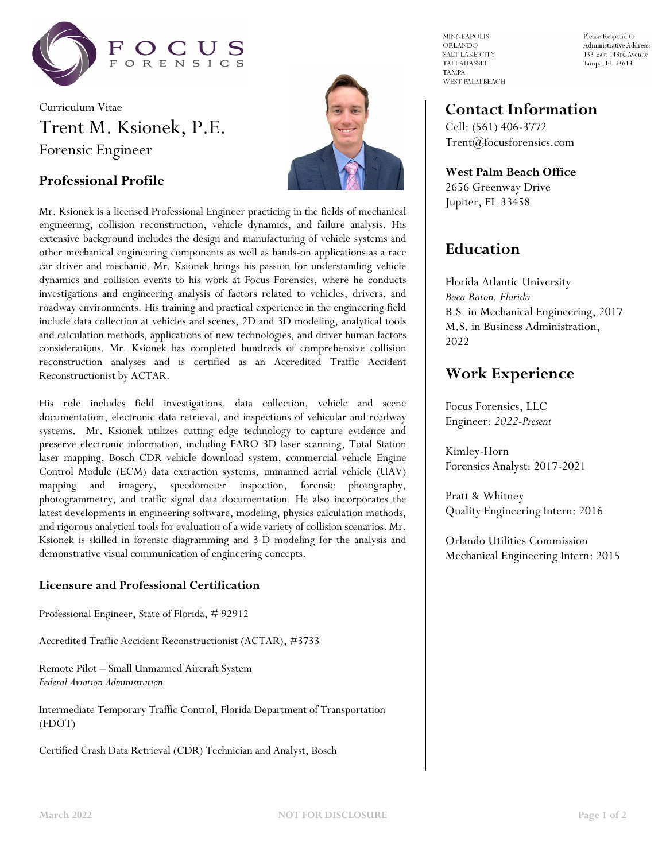

# Curriculum Vitae Trent M. Ksionek, P.E. Forensic Engineer





Mr. Ksionek is a licensed Professional Engineer practicing in the fields of mechanical engineering, collision reconstruction, vehicle dynamics, and failure analysis. His extensive background includes the design and manufacturing of vehicle systems and other mechanical engineering components as well as hands-on applications as a race car driver and mechanic. Mr. Ksionek brings his passion for understanding vehicle dynamics and collision events to his work at Focus Forensics, where he conducts investigations and engineering analysis of factors related to vehicles, drivers, and roadway environments. His training and practical experience in the engineering field include data collection at vehicles and scenes, 2D and 3D modeling, analytical tools and calculation methods, applications of new technologies, and driver human factors considerations. Mr. Ksionek has completed hundreds of comprehensive collision reconstruction analyses and is certified as an Accredited Traffic Accident Reconstructionist by ACTAR.

His role includes field investigations, data collection, vehicle and scene documentation, electronic data retrieval, and inspections of vehicular and roadway systems. Mr. Ksionek utilizes cutting edge technology to capture evidence and preserve electronic information, including FARO 3D laser scanning, Total Station laser mapping, Bosch CDR vehicle download system, commercial vehicle Engine Control Module (ECM) data extraction systems, unmanned aerial vehicle (UAV) mapping and imagery, speedometer inspection, forensic photography, photogrammetry, and traffic signal data documentation. He also incorporates the latest developments in engineering software, modeling, physics calculation methods, and rigorous analytical tools for evaluation of a wide variety of collision scenarios. Mr. Ksionek is skilled in forensic diagramming and 3-D modeling for the analysis and demonstrative visual communication of engineering concepts.

#### **Licensure and Professional Certification**

Professional Engineer, State of Florida, # 92912

Accredited Traffic Accident Reconstructionist (ACTAR), #3733

Remote Pilot – Small Unmanned Aircraft System *Federal Aviation Administration*

Intermediate Temporary Traffic Control, Florida Department of Transportation (FDOT)

Certified Crash Data Retrieval (CDR) Technician and Analyst, Bosch

**MINNEAPOLIS** ORLANDO SALT LAKE CITY TALLAHASSEE **TAMPA** WEST PALM BEACH Please Respond to Administrative Address: 133 East 143rd Avenue Tampa, FL 33613

## **Contact Information**

Cell: (561) 406-3772 Trent@focusforensics.com

**West Palm Beach Office** 2656 Greenway Drive Jupiter, FL 33458

## **Education**

Florida Atlantic University *Boca Raton, Florida* B.S. in Mechanical Engineering, 2017 M.S. in Business Administration, 2022

## **Work Experience**

Focus Forensics, LLC Engineer: *2022-Present*

Kimley-Horn Forensics Analyst: 2017-2021

Pratt & Whitney Quality Engineering Intern: 2016

Orlando Utilities Commission Mechanical Engineering Intern: 2015